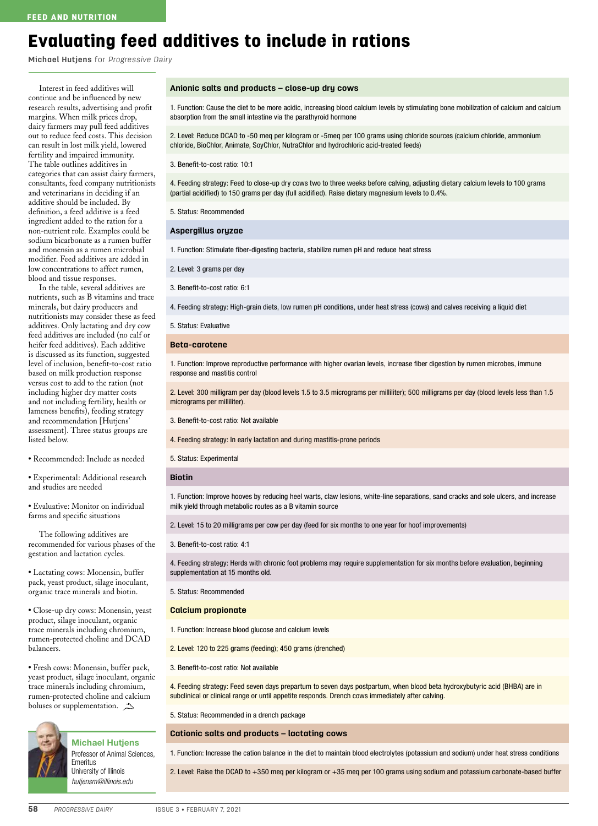# Evaluating feed additives to include in rations

**Michael Hutjens** for *Progressive Dairy*

Interest in feed additives will continue and be influenced by new research results, advertising and profit margins. When milk prices drop, dairy farmers may pull feed additives out to reduce feed costs. This decision can result in lost milk yield, lowered fertility and impaired immunity. The table outlines additives in categories that can assist dairy farmers, consultants, feed company nutritionists and veterinarians in deciding if an additive should be included. By definition, a feed additive is a feed ingredient added to the ration for a non-nutrient role. Examples could be sodium bicarbonate as a rumen buffer and monensin as a rumen microbial modifier. Feed additives are added in low concentrations to affect rumen, blood and tissue responses.

In the table, several additives are nutrients, such as B vitamins and trace minerals, but dairy producers and nutritionists may consider these as feed additives. Only lactating and dry cow feed additives are included (no calf or heifer feed additives). Each additive is discussed as its function, suggested level of inclusion, benefit-to-cost ratio based on milk production response versus cost to add to the ration (not including higher dry matter costs and not including fertility, health or lameness benefits), feeding strategy and recommendation [Hutjens' assessment]. Three status groups are listed below.

**•** Recommended: Include as needed

**•** Experimental: Additional research and studies are needed

**•** Evaluative: Monitor on individual farms and specific situations

The following additives are recommended for various phases of the gestation and lactation cycles.

**•** Lactating cows: Monensin, buffer pack, yeast product, silage inoculant, organic trace minerals and biotin.

**•** Close-up dry cows: Monensin, yeast product, silage inoculant, organic trace minerals including chromium, rumen-protected choline and DCAD balancers.

**•** Fresh cows: Monensin, buffer pack, yeast product, silage inoculant, organic trace minerals including chromium, rumen-protected choline and calcium boluses or supplementation.  $\rightarrow$ 



Michael Hutjens Professor of Animal Sciences, Emeritus University of Illinois *hutjensm@illinois.edu*

#### **Anionic salts and products – close-up dry cows**

1. Function: Cause the diet to be more acidic, increasing blood calcium levels by stimulating bone mobilization of calcium and calcium absorption from the small intestine via the parathyroid hormone

2. Level: Reduce DCAD to -50 meq per kilogram or -5meq per 100 grams using chloride sources (calcium chloride, ammonium chloride, BioChlor, Animate, SoyChlor, NutraChlor and hydrochloric acid-treated feeds)

3. Benefit-to-cost ratio: 10:1

4. Feeding strategy: Feed to close-up dry cows two to three weeks before calving, adjusting dietary calcium levels to 100 grams (partial acidified) to 150 grams per day (full acidified). Raise dietary magnesium levels to 0.4%.

5. Status: Recommended

**Aspergillus oryzae**

1. Function: Stimulate fiber-digesting bacteria, stabilize rumen pH and reduce heat stress

2. Level: 3 grams per day

3. Benefit-to-cost ratio: 6:1

4. Feeding strategy: High-grain diets, low rumen pH conditions, under heat stress (cows) and calves receiving a liquid diet

5. Status: Evaluative

## **Beta-carotene**

1. Function: Improve reproductive performance with higher ovarian levels, increase fiber digestion by rumen microbes, immune response and mastitis control

2. Level: 300 milligram per day (blood levels 1.5 to 3.5 micrograms per milliliter); 500 milligrams per day (blood levels less than 1.5 micrograms per milliliter).

3. Benefit-to-cost ratio: Not available

4. Feeding strategy: In early lactation and during mastitis-prone periods

5. Status: Experimental

## **Biotin**

1. Function: Improve hooves by reducing heel warts, claw lesions, white-line separations, sand cracks and sole ulcers, and increase milk yield through metabolic routes as a B vitamin source

2. Level: 15 to 20 milligrams per cow per day (feed for six months to one year for hoof improvements)

3. Benefit-to-cost ratio: 4:1

4. Feeding strategy: Herds with chronic foot problems may require supplementation for six months before evaluation, beginning supplementation at 15 months old.

5. Status: Recommended

#### **Calcium propionate**

1. Function: Increase blood glucose and calcium levels

2. Level: 120 to 225 grams (feeding); 450 grams (drenched)

3. Benefit-to-cost ratio: Not available

4. Feeding strategy: Feed seven days prepartum to seven days postpartum, when blood beta hydroxybutyric acid (BHBA) are in subclinical or clinical range or until appetite responds. Drench cows immediately after calving.

5. Status: Recommended in a drench package

**Cationic salts and products – lactating cows**

1. Function: Increase the cation balance in the diet to maintain blood electrolytes (potassium and sodium) under heat stress conditions

2. Level: Raise the DCAD to +350 meq per kilogram or +35 meq per 100 grams using sodium and potassium carbonate-based buffer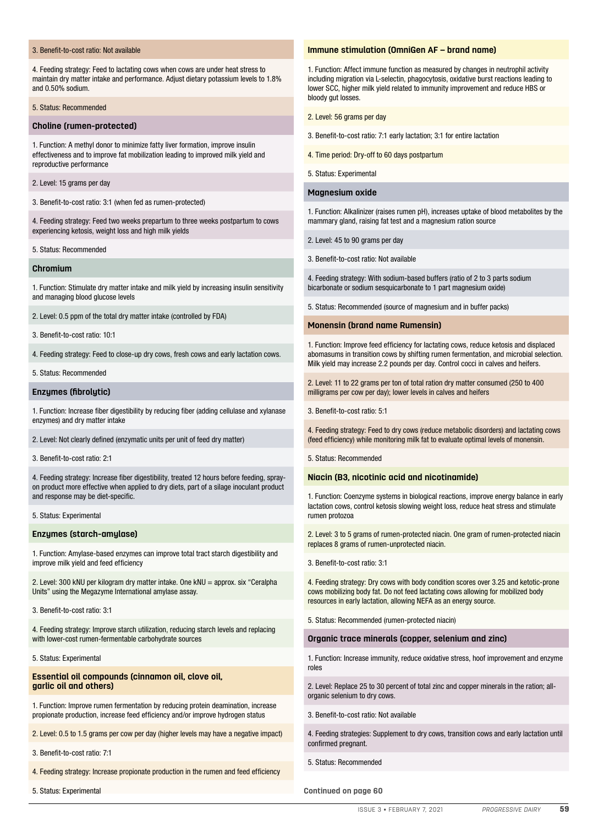# 3. Benefit-to-cost ratio: Not available

4. Feeding strategy: Feed to lactating cows when cows are under heat stress to maintain dry matter intake and performance. Adjust dietary potassium levels to 1.8% and 0.50% sodium.

#### 5. Status: Recommended

## **Choline (rumen-protected)**

1. Function: A methyl donor to minimize fatty liver formation, improve insulin effectiveness and to improve fat mobilization leading to improved milk yield and reproductive performance

2. Level: 15 grams per day

3. Benefit-to-cost ratio: 3:1 (when fed as rumen-protected)

4. Feeding strategy: Feed two weeks prepartum to three weeks postpartum to cows experiencing ketosis, weight loss and high milk yields

5. Status: Recommended

## **Chromium**

1. Function: Stimulate dry matter intake and milk yield by increasing insulin sensitivity and managing blood glucose levels

2. Level: 0.5 ppm of the total dry matter intake (controlled by FDA)

3. Benefit-to-cost ratio: 10:1

4. Feeding strategy: Feed to close-up dry cows, fresh cows and early lactation cows.

5. Status: Recommended

## **Enzymes (fibrolytic)**

1. Function: Increase fiber digestibility by reducing fiber (adding cellulase and xylanase enzymes) and dry matter intake

2. Level: Not clearly defined (enzymatic units per unit of feed dry matter)

3. Benefit-to-cost ratio: 2:1

4. Feeding strategy: Increase fiber digestibility, treated 12 hours before feeding, sprayon product more effective when applied to dry diets, part of a silage inoculant product and response may be diet-specific.

## 5. Status: Experimental

#### **Enzymes (starch-amylase)**

1. Function: Amylase-based enzymes can improve total tract starch digestibility and improve milk yield and feed efficiency

2. Level: 300 kNU per kilogram dry matter intake. One kNU = approx. six "Ceralpha Units" using the Megazyme International amylase assay.

3. Benefit-to-cost ratio: 3:1

4. Feeding strategy: Improve starch utilization, reducing starch levels and replacing with lower-cost rumen-fermentable carbohydrate sources

#### 5. Status: Experimental

## **Essential oil compounds (cinnamon oil, clove oil, garlic oil and others)**

1. Function: Improve rumen fermentation by reducing protein deamination, increase propionate production, increase feed efficiency and/or improve hydrogen status

2. Level: 0.5 to 1.5 grams per cow per day (higher levels may have a negative impact)

3. Benefit-to-cost ratio: 7:1

4. Feeding strategy: Increase propionate production in the rumen and feed efficiency

5. Status: Experimental

# **Immune stimulation (OmniGen AF – brand name)**

1. Function: Affect immune function as measured by changes in neutrophil activity including migration via L-selectin, phagocytosis, oxidative burst reactions leading to lower SCC, higher milk yield related to immunity improvement and reduce HBS or bloody gut losses.

2. Level: 56 grams per day

- 3. Benefit-to-cost ratio: 7:1 early lactation; 3:1 for entire lactation
- 4. Time period: Dry-off to 60 days postpartum
- 5. Status: Experimental

## **Magnesium oxide**

1. Function: Alkalinizer (raises rumen pH), increases uptake of blood metabolites by the mammary gland, raising fat test and a magnesium ration source

- 2. Level: 45 to 90 grams per day
- 3. Benefit-to-cost ratio: Not available

4. Feeding strategy: With sodium-based buffers (ratio of 2 to 3 parts sodium bicarbonate or sodium sesquicarbonate to 1 part magnesium oxide)

5. Status: Recommended (source of magnesium and in buffer packs)

## **Monensin (brand name Rumensin)**

1. Function: Improve feed efficiency for lactating cows, reduce ketosis and displaced abomasums in transition cows by shifting rumen fermentation, and microbial selection. Milk yield may increase 2.2 pounds per day. Control cocci in calves and heifers.

2. Level: 11 to 22 grams per ton of total ration dry matter consumed (250 to 400 milligrams per cow per day); lower levels in calves and heifers

3. Benefit-to-cost ratio: 5:1

4. Feeding strategy: Feed to dry cows (reduce metabolic disorders) and lactating cows (feed efficiency) while monitoring milk fat to evaluate optimal levels of monensin.

5. Status: Recommended

#### **Niacin (B3, nicotinic acid and nicotinamide)**

1. Function: Coenzyme systems in biological reactions, improve energy balance in early lactation cows, control ketosis slowing weight loss, reduce heat stress and stimulate rumen protozoa

2. Level: 3 to 5 grams of rumen-protected niacin. One gram of rumen-protected niacin replaces 8 grams of rumen-unprotected niacin.

3. Benefit-to-cost ratio: 3:1

4. Feeding strategy: Dry cows with body condition scores over 3.25 and ketotic-prone cows mobilizing body fat. Do not feed lactating cows allowing for mobilized body resources in early lactation, allowing NEFA as an energy source.

5. Status: Recommended (rumen-protected niacin)

#### **Organic trace minerals (copper, selenium and zinc)**

1. Function: Increase immunity, reduce oxidative stress, hoof improvement and enzyme roles

2. Level: Replace 25 to 30 percent of total zinc and copper minerals in the ration; allorganic selenium to dry cows.

3. Benefit-to-cost ratio: Not available

4. Feeding strategies: Supplement to dry cows, transition cows and early lactation until confirmed pregnant.

5. Status: Recommended

**Continued on page 60**